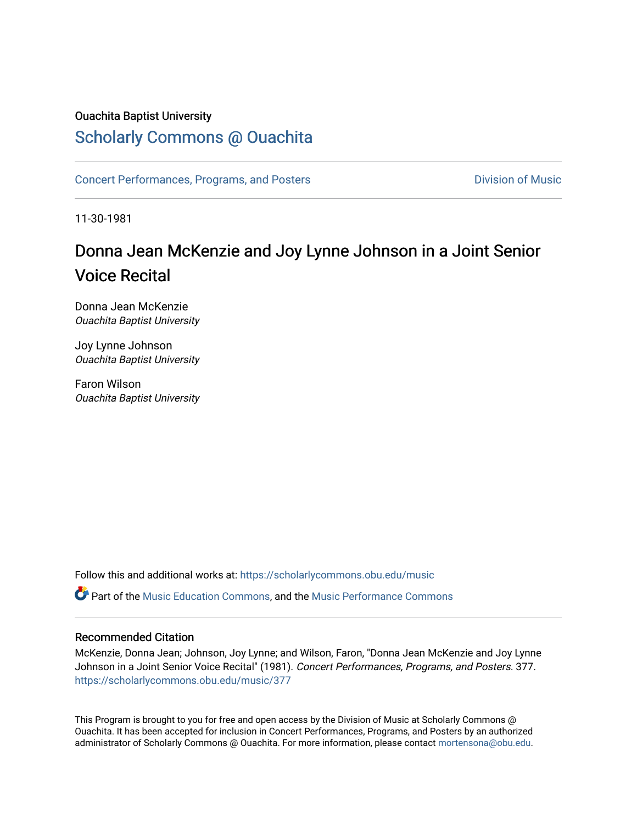## Ouachita Baptist University

## [Scholarly Commons @ Ouachita](https://scholarlycommons.obu.edu/)

[Concert Performances, Programs, and Posters](https://scholarlycommons.obu.edu/music) **Division of Music** Division of Music

11-30-1981

## Donna Jean McKenzie and Joy Lynne Johnson in a Joint Senior Voice Recital

Donna Jean McKenzie Ouachita Baptist University

Joy Lynne Johnson Ouachita Baptist University

Faron Wilson Ouachita Baptist University

Follow this and additional works at: [https://scholarlycommons.obu.edu/music](https://scholarlycommons.obu.edu/music?utm_source=scholarlycommons.obu.edu%2Fmusic%2F377&utm_medium=PDF&utm_campaign=PDFCoverPages) 

**C** Part of the [Music Education Commons,](http://network.bepress.com/hgg/discipline/1246?utm_source=scholarlycommons.obu.edu%2Fmusic%2F377&utm_medium=PDF&utm_campaign=PDFCoverPages) and the Music Performance Commons

## Recommended Citation

McKenzie, Donna Jean; Johnson, Joy Lynne; and Wilson, Faron, "Donna Jean McKenzie and Joy Lynne Johnson in a Joint Senior Voice Recital" (1981). Concert Performances, Programs, and Posters. 377. [https://scholarlycommons.obu.edu/music/377](https://scholarlycommons.obu.edu/music/377?utm_source=scholarlycommons.obu.edu%2Fmusic%2F377&utm_medium=PDF&utm_campaign=PDFCoverPages) 

This Program is brought to you for free and open access by the Division of Music at Scholarly Commons @ Ouachita. It has been accepted for inclusion in Concert Performances, Programs, and Posters by an authorized administrator of Scholarly Commons @ Ouachita. For more information, please contact [mortensona@obu.edu](mailto:mortensona@obu.edu).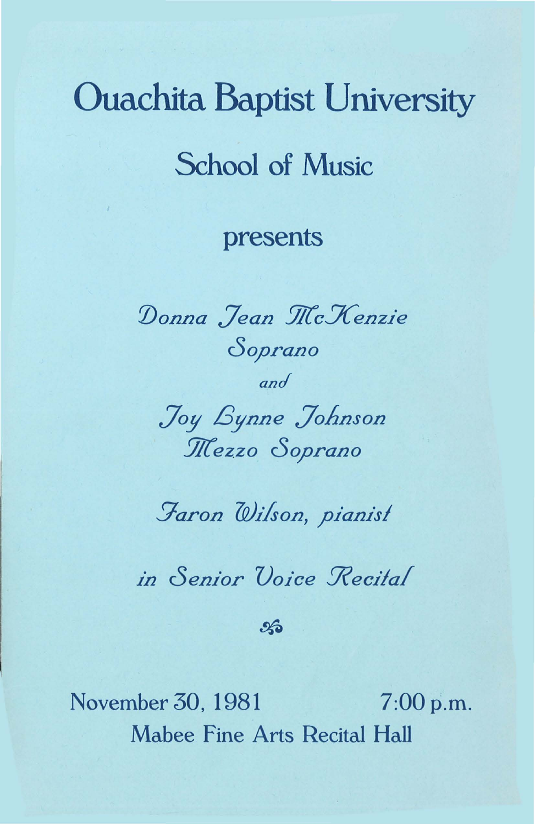# Ouachita Baptist University School of Music

## presents

*:Donna Jean 2/(cXenzie cSoprano and Joy Bynne Johnson*   $M$ ezzo Soprano

*!7aron Wilson, pianisl* 

*in Senior Voice Recital* 

 $\mathcal{L}$ 

November 30, 1981 7:00 p.m. Mabee fine Arts Recital Hall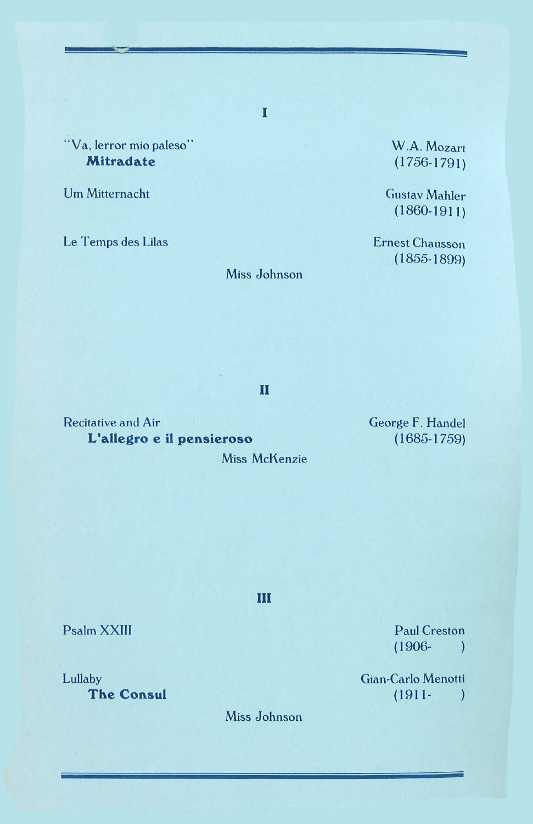"Va, lerror mio paleso" **Mitradate** 

Urn Mitternacht

Le Temps des Lilas

Miss Johnson

I

W.A. Mozart  $(1756-1791)$ 

Gustav Mahler  $(1860-1911)$ 

Ernest Chausson ( I855-I899)

II

Recitative and Air **L'allegro e il pensieroso** 

Miss McKenzie

George F. Handel ( I685-I759)

Ill

Paul Creston (1906-  $\rightarrow$ 

Gian-Carlo Menotti (1911- $\lambda$ 

Psalm XXIII

Lullaby **The Consul** 

Miss Johnson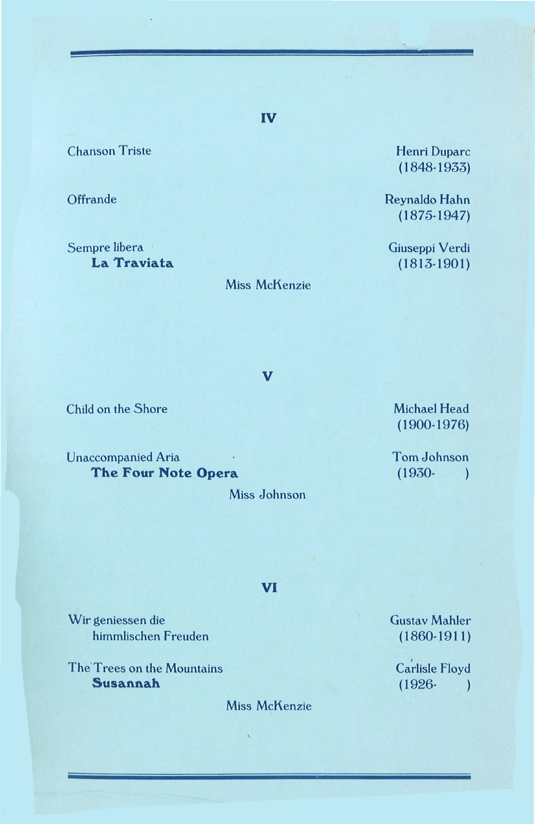Chanson Triste

**Offrande** 

Sempre Iibera **La Traviata** 

#### Miss McKenzie

**v** 

Henri Duparc ( 1848-1933)

Reynaldo Hahn ( 1875-1947)

Giuseppi Verdi  $(1813-1901)$ 

Child on the Shore

Unaccompanied Aria **The Four Note Opera** 

Miss Johnson

Michael Head ( 1900-1976)

Tom Johnson (1930-  $\rightarrow$ 

VI

Wir geniessen die himmlischen Freuden

The'Trees on the Mountains **Susannah** 

Miss McKenzie

Gustav Mahler  $(1860-1911)$ 

Carlisle Floyd  $(1926 - )$ 

**IV**